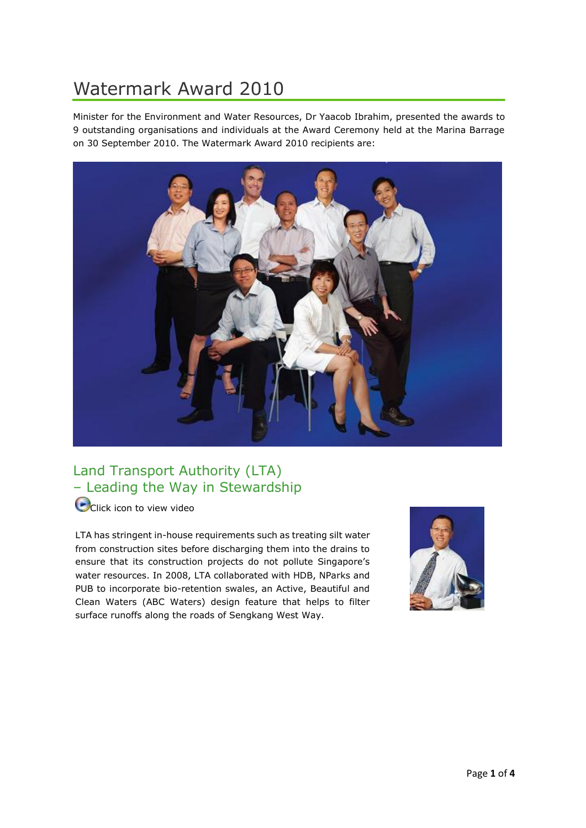# Watermark Award 2010

Minister for the Environment and Water Resources, Dr Yaacob Ibrahim, presented the awards to 9 outstanding organisations and individuals at the Award Ceremony held at the Marina Barrage on 30 September 2010. The Watermark Award 2010 recipients are:



### Land Transport Authority (LTA) – Leading the Way in Stewardship

**O**[C](http://wms.pub.gov.sg/pubmedia/lta.wmv)lick icon to view video

LTA has stringent in-house requirements such as treating silt water from construction sites before discharging them into the drains to ensure that its construction projects do not pollute Singapore's water resources. In 2008, LTA collaborated with HDB, NParks and PUB to incorporate bio-retention swales, an Active, Beautiful and Clean Waters (ABC Waters) design feature that helps to filter surface runoffs along the roads of Sengkang West Way.

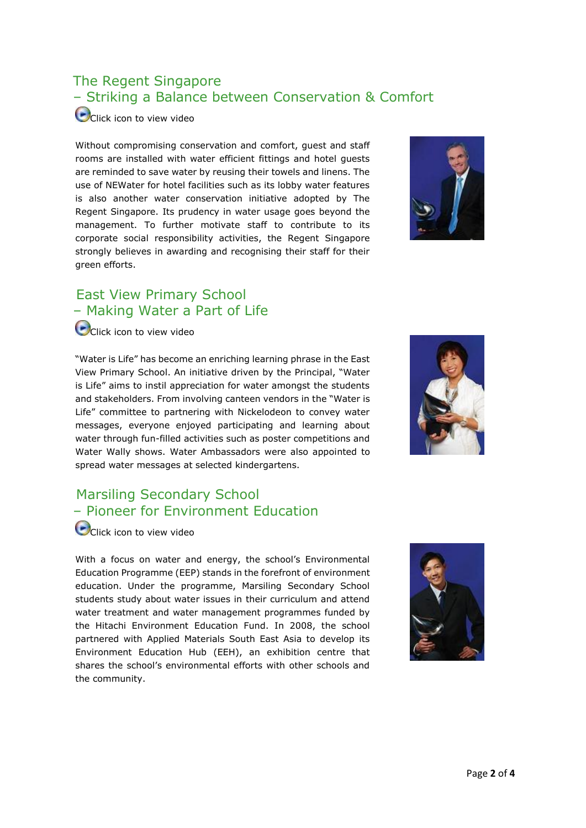## The Regent Singapore – Striking a Balance between Conservation & Comfort

[C](http://wms.pub.gov.sg/pubmedia/regent.wmv)lick icon to view video

Without compromising conservation and comfort, guest and staff rooms are installed with water efficient fittings and hotel guests are reminded to save water by reusing their towels and linens. The use of NEWater for hotel facilities such as its lobby water features is also another water conservation initiative adopted by The Regent Singapore. Its prudency in water usage goes beyond the management. To further motivate staff to contribute to its corporate social responsibility activities, the Regent Singapore strongly believes in awarding and recognising their staff for their green efforts.



### East View Primary School – Making Water a Part of Life

**O**[C](http://wms.pub.gov.sg/pubmedia/east_view.wmv)lick icon to view video

"Water is Life" has become an enriching learning phrase in the East View Primary School. An initiative driven by the Principal, "Water is Life" aims to instil appreciation for water amongst the students and stakeholders. From involving canteen vendors in the "Water is Life" committee to partnering with Nickelodeon to convey water messages, everyone enjoyed participating and learning about water through fun-filled activities such as poster competitions and Water Wally shows. Water Ambassadors were also appointed to spread water messages at selected kindergartens.



## Marsiling Secondary School – Pioneer for Environment Education

[C](http://wms.pub.gov.sg/pubmedia/marsiling.wmv)olick icon to view video

With a focus on water and energy, the school's Environmental Education Programme (EEP) stands in the forefront of environment education. Under the programme, Marsiling Secondary School students study about water issues in their curriculum and attend water treatment and water management programmes funded by the Hitachi Environment Education Fund. In 2008, the school partnered with Applied Materials South East Asia to develop its Environment Education Hub (EEH), an exhibition centre that shares the school's environmental efforts with other schools and the community.

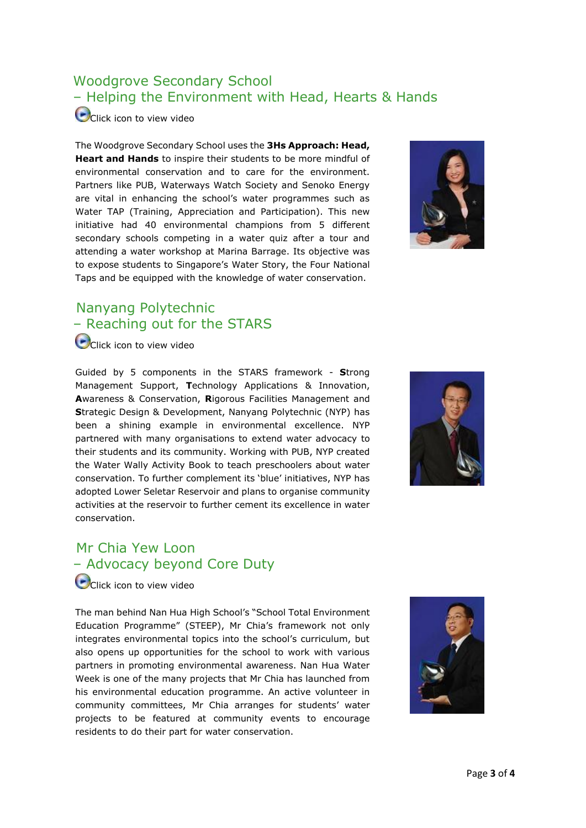### Woodgrove Secondary School – Helping the Environment with Head, Hearts & Hands

[C](http://wms.pub.gov.sg/pubmedia/woodgrove.wmv)lick icon to view video

The Woodgrove Secondary School uses the **3Hs Approach: Head, Heart and Hands** to inspire their students to be more mindful of environmental conservation and to care for the environment. Partners like PUB, Waterways Watch Society and Senoko Energy are vital in enhancing the school's water programmes such as Water TAP (Training, Appreciation and Participation). This new initiative had 40 environmental champions from 5 different secondary schools competing in a water quiz after a tour and attending a water workshop at Marina Barrage. Its objective was to expose students to Singapore's Water Story, the Four National Taps and be equipped with the knowledge of water conservation.



#### Nanyang Polytechnic – Reaching out for the STARS

**O**[C](http://wms.pub.gov.sg/pubmedia/nyp.wmv)lick icon to view video

Guided by 5 components in the STARS framework - **S**trong Management Support, **T**echnology Applications & Innovation, **A**wareness & Conservation, **R**igorous Facilities Management and **S**trategic Design & Development, Nanyang Polytechnic (NYP) has been a shining example in environmental excellence. NYP partnered with many organisations to extend water advocacy to their students and its community. Working with PUB, NYP created the Water Wally Activity Book to teach preschoolers about water conservation. To further complement its 'blue' initiatives, NYP has adopted Lower Seletar Reservoir and plans to organise community activities at the reservoir to further cement its excellence in water conservation.



#### Mr Chia Yew Loon – Advocacy beyond Core Duty

**O** [C](http://wms.pub.gov.sg/pubmedia/chia_yew_loon.wmv)lick icon to view video

The man behind Nan Hua High School's "School Total Environment Education Programme" (STEEP), Mr Chia's framework not only integrates environmental topics into the school's curriculum, but also opens up opportunities for the school to work with various partners in promoting environmental awareness. Nan Hua Water Week is one of the many projects that Mr Chia has launched from his environmental education programme. An active volunteer in community committees, Mr Chia arranges for students' water projects to be featured at community events to encourage residents to do their part for water conservation.